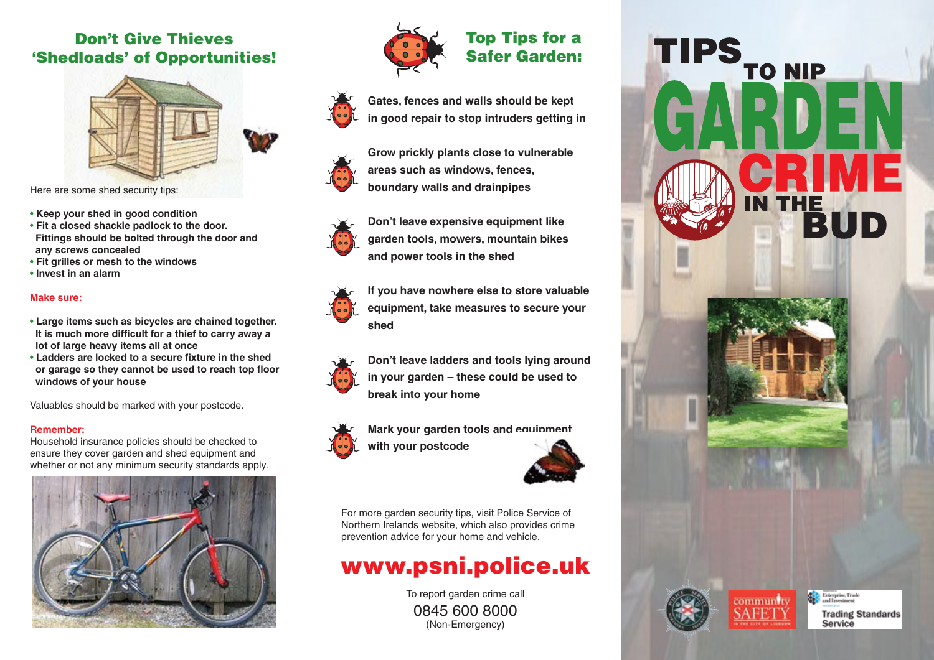### Don't Give Thieves 'Shedloads' of Opportunities!



- 
- **Keep your shed in good condition • Fit a closed shackle padlock to the door. Fittings should be bolted through the door and**
- **any screws concealed**
- **Fit grilles or mesh to the windows**
- **Invest in an alarm**

#### **Make sure:**

- **Large items such as bicycles are chained together. It is much more difficult for a thief to carry away a lot of large heavy items all at once**
- **Ladders are locked to a secure fixture in the shed or garage so they cannot be used to reach top floor windows of your house**

Valuables should be marked with your postcode.

#### **Remember:**

Household insurance policies should be checked to ensure they cover garden and shed equipment and whether or not any minimum security standards apply.





#### Top Tips for a Safer Garden:



**Gates, fences and walls should be kept in good repair to stop intruders getting in**

**Grow prickly plants close to vulnerable areas such as windows, fences, boundary walls and drainpipes**



**Don't leave expensive equipment like garden tools, mowers, mountain bikes and power tools in the shed**



**If you have nowhere else to store valuable equipment, take measures to secure your shed**

**Don't leave ladders and tools lying around in your garden – these could be used to break into your home**



**Mark your garden tools and equipment with your postcode**



For more garden security tips, visit Police Service of Northern Irelands website, which also provides crime prevention advice for your home and vehicle.

# www.psni.police.uk

To report garden crime call 0845 600 8000 (Non-Emergency)



**Carl Enterprise**, Trade

Service

**Trading Standards** 

community **SAFET**